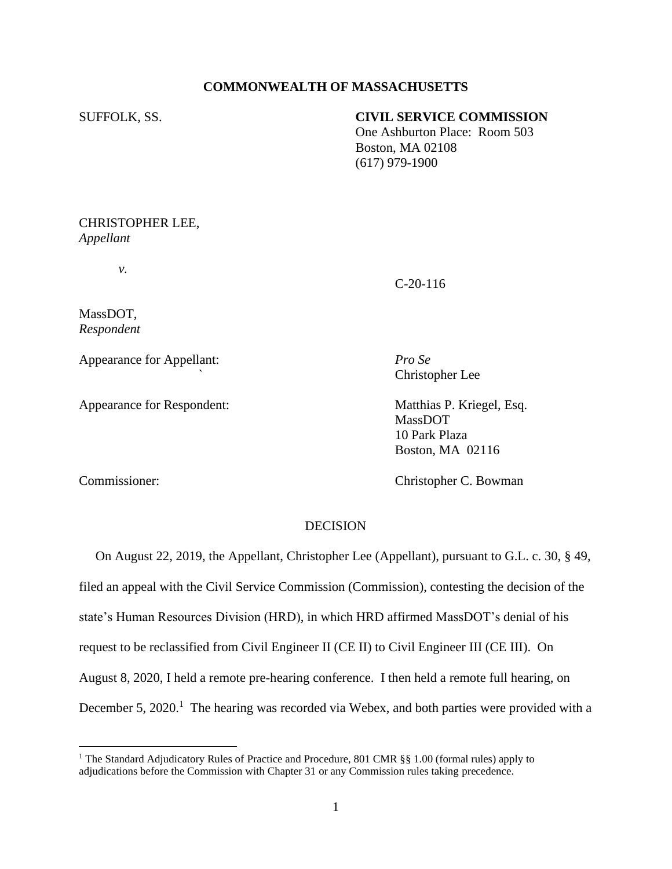# **COMMONWEALTH OF MASSACHUSETTS**

SUFFOLK, SS. **CIVIL SERVICE COMMISSION**

 One Ashburton Place: Room 503 Boston, MA 02108 (617) 979-1900

CHRISTOPHER LEE, *Appellant*

*v.*

C-20-116

*`* Christopher Lee

MassDOT 10 Park Plaza

MassDOT, *Respondent*

Appearance for Appellant: *Pro Se*

Appearance for Respondent: Matthias P. Kriegel, Esq.

Commissioner: Christopher C. Bowman

Boston, MA 02116

# DECISION

 On August 22, 2019, the Appellant, Christopher Lee (Appellant), pursuant to G.L. c. 30, § 49, filed an appeal with the Civil Service Commission (Commission), contesting the decision of the state's Human Resources Division (HRD), in which HRD affirmed MassDOT's denial of his request to be reclassified from Civil Engineer II (CE II) to Civil Engineer III (CE III). On August 8, 2020, I held a remote pre-hearing conference. I then held a remote full hearing, on December 5, 2020.<sup>1</sup> The hearing was recorded via Webex, and both parties were provided with a

<sup>&</sup>lt;sup>1</sup> The Standard Adjudicatory Rules of Practice and Procedure, 801 CMR §§ 1.00 (formal rules) apply to adjudications before the Commission with Chapter 31 or any Commission rules taking precedence.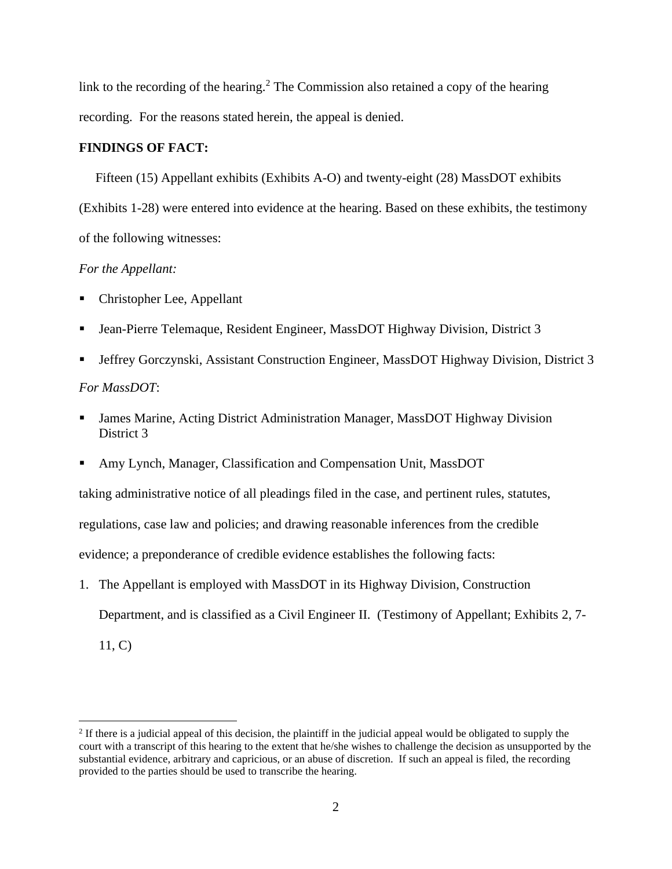link to the recording of the hearing.<sup>2</sup> The Commission also retained a copy of the hearing recording. For the reasons stated herein, the appeal is denied.

## **FINDINGS OF FACT:**

 Fifteen (15) Appellant exhibits (Exhibits A-O) and twenty-eight (28) MassDOT exhibits (Exhibits 1-28) were entered into evidence at the hearing. Based on these exhibits, the testimony of the following witnesses:

### *For the Appellant:*

- Christopher Lee, Appellant
- Jean-Pierre Telemaque, Resident Engineer, MassDOT Highway Division, District 3
- Jeffrey Gorczynski, Assistant Construction Engineer, MassDOT Highway Division, District 3 *For MassDOT*:
- James Marine, Acting District Administration Manager, MassDOT Highway Division District 3
- Amy Lynch, Manager, Classification and Compensation Unit, MassDOT

taking administrative notice of all pleadings filed in the case, and pertinent rules, statutes,

regulations, case law and policies; and drawing reasonable inferences from the credible

evidence; a preponderance of credible evidence establishes the following facts:

1. The Appellant is employed with MassDOT in its Highway Division, Construction

Department, and is classified as a Civil Engineer II. (Testimony of Appellant; Exhibits 2, 7-

11, C)

 $2$  If there is a judicial appeal of this decision, the plaintiff in the judicial appeal would be obligated to supply the court with a transcript of this hearing to the extent that he/she wishes to challenge the decision as unsupported by the substantial evidence, arbitrary and capricious, or an abuse of discretion. If such an appeal is filed, the recording provided to the parties should be used to transcribe the hearing.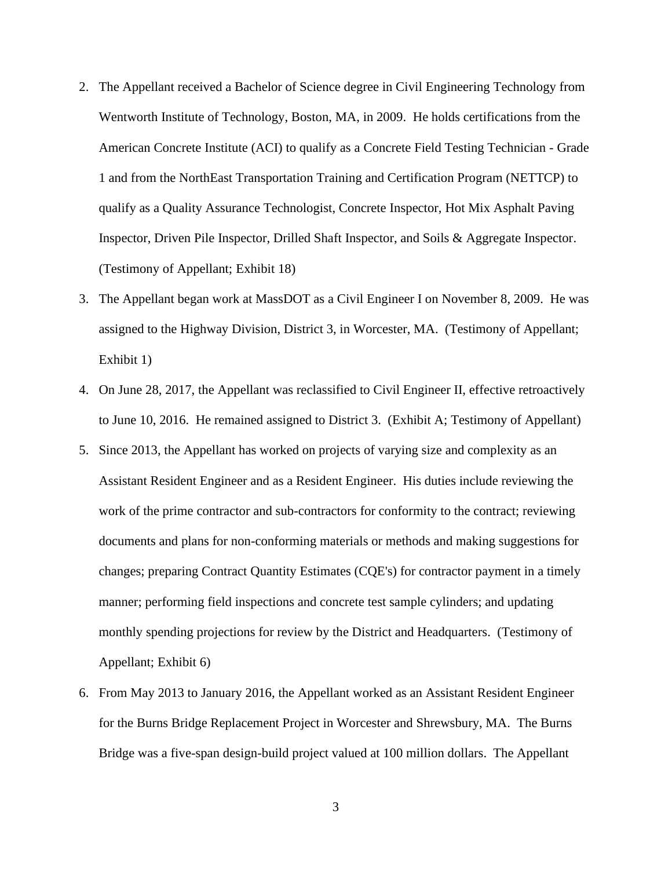- 2. The Appellant received a Bachelor of Science degree in Civil Engineering Technology from Wentworth Institute of Technology, Boston, MA, in 2009. He holds certifications from the American Concrete Institute (ACI) to qualify as a Concrete Field Testing Technician - Grade 1 and from the NorthEast Transportation Training and Certification Program (NETTCP) to qualify as a Quality Assurance Technologist, Concrete Inspector, Hot Mix Asphalt Paving Inspector, Driven Pile Inspector, Drilled Shaft Inspector, and Soils & Aggregate Inspector. (Testimony of Appellant; Exhibit 18)
- 3. The Appellant began work at MassDOT as a Civil Engineer I on November 8, 2009. He was assigned to the Highway Division, District 3, in Worcester, MA. (Testimony of Appellant; Exhibit 1)
- 4. On June 28, 2017, the Appellant was reclassified to Civil Engineer II, effective retroactively to June 10, 2016. He remained assigned to District 3. (Exhibit A; Testimony of Appellant)
- 5. Since 2013, the Appellant has worked on projects of varying size and complexity as an Assistant Resident Engineer and as a Resident Engineer. His duties include reviewing the work of the prime contractor and sub-contractors for conformity to the contract; reviewing documents and plans for non-conforming materials or methods and making suggestions for changes; preparing Contract Quantity Estimates (CQE's) for contractor payment in a timely manner; performing field inspections and concrete test sample cylinders; and updating monthly spending projections for review by the District and Headquarters. (Testimony of Appellant; Exhibit 6)
- 6. From May 2013 to January 2016, the Appellant worked as an Assistant Resident Engineer for the Burns Bridge Replacement Project in Worcester and Shrewsbury, MA. The Burns Bridge was a five-span design-build project valued at 100 million dollars. The Appellant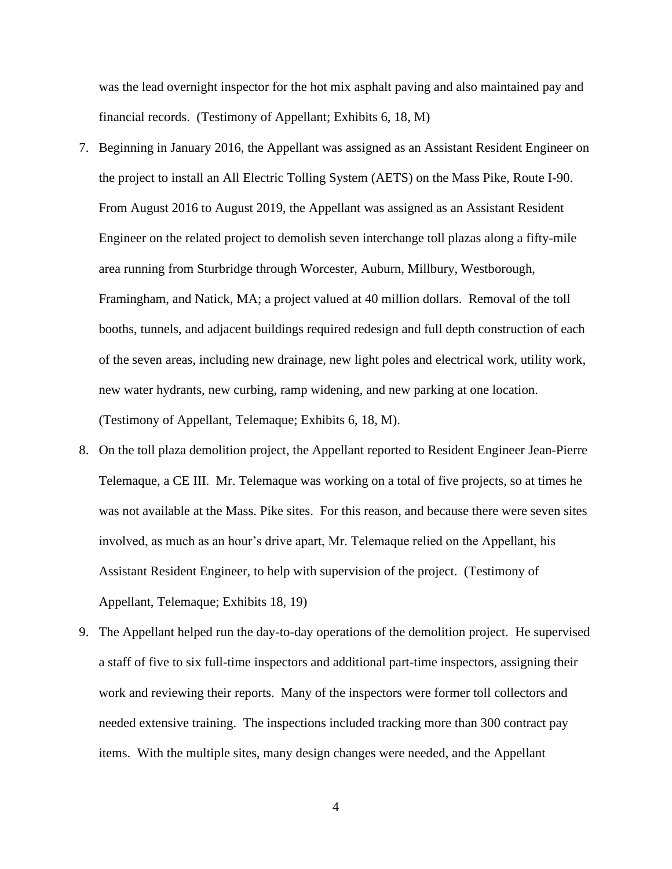was the lead overnight inspector for the hot mix asphalt paving and also maintained pay and financial records. (Testimony of Appellant; Exhibits 6, 18, M)

- 7. Beginning in January 2016, the Appellant was assigned as an Assistant Resident Engineer on the project to install an All Electric Tolling System (AETS) on the Mass Pike, Route I-90. From August 2016 to August 2019, the Appellant was assigned as an Assistant Resident Engineer on the related project to demolish seven interchange toll plazas along a fifty-mile area running from Sturbridge through Worcester, Auburn, Millbury, Westborough, Framingham, and Natick, MA; a project valued at 40 million dollars. Removal of the toll booths, tunnels, and adjacent buildings required redesign and full depth construction of each of the seven areas, including new drainage, new light poles and electrical work, utility work, new water hydrants, new curbing, ramp widening, and new parking at one location. (Testimony of Appellant, Telemaque; Exhibits 6, 18, M).
- 8. On the toll plaza demolition project, the Appellant reported to Resident Engineer Jean-Pierre Telemaque, a CE III. Mr. Telemaque was working on a total of five projects, so at times he was not available at the Mass. Pike sites. For this reason, and because there were seven sites involved, as much as an hour's drive apart, Mr. Telemaque relied on the Appellant, his Assistant Resident Engineer, to help with supervision of the project. (Testimony of Appellant, Telemaque; Exhibits 18, 19)
- 9. The Appellant helped run the day-to-day operations of the demolition project. He supervised a staff of five to six full-time inspectors and additional part-time inspectors, assigning their work and reviewing their reports. Many of the inspectors were former toll collectors and needed extensive training. The inspections included tracking more than 300 contract pay items. With the multiple sites, many design changes were needed, and the Appellant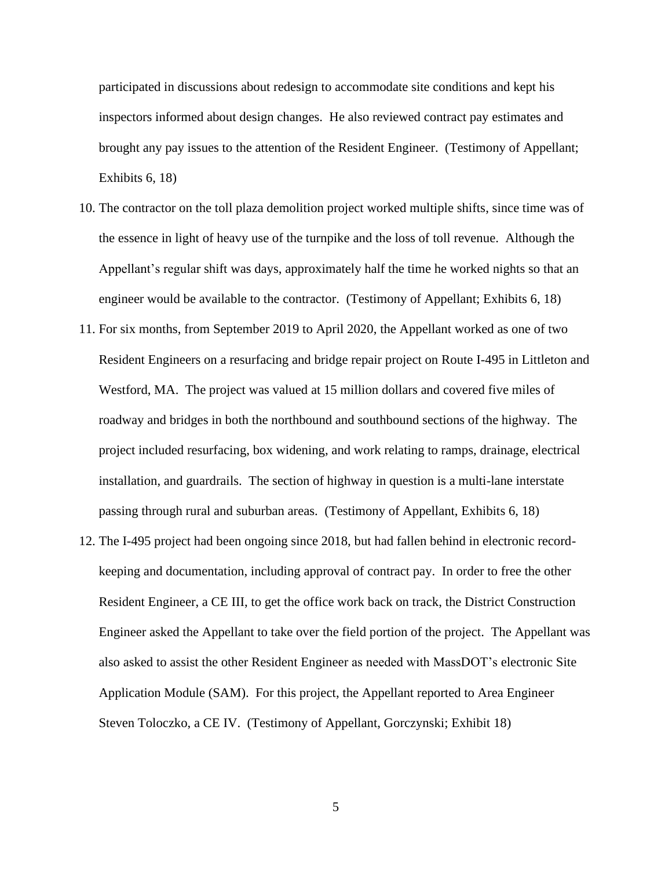participated in discussions about redesign to accommodate site conditions and kept his inspectors informed about design changes. He also reviewed contract pay estimates and brought any pay issues to the attention of the Resident Engineer. (Testimony of Appellant; Exhibits 6, 18)

- 10. The contractor on the toll plaza demolition project worked multiple shifts, since time was of the essence in light of heavy use of the turnpike and the loss of toll revenue. Although the Appellant's regular shift was days, approximately half the time he worked nights so that an engineer would be available to the contractor. (Testimony of Appellant; Exhibits 6, 18)
- 11. For six months, from September 2019 to April 2020, the Appellant worked as one of two Resident Engineers on a resurfacing and bridge repair project on Route I-495 in Littleton and Westford, MA. The project was valued at 15 million dollars and covered five miles of roadway and bridges in both the northbound and southbound sections of the highway. The project included resurfacing, box widening, and work relating to ramps, drainage, electrical installation, and guardrails. The section of highway in question is a multi-lane interstate passing through rural and suburban areas. (Testimony of Appellant, Exhibits 6, 18)
- 12. The I-495 project had been ongoing since 2018, but had fallen behind in electronic recordkeeping and documentation, including approval of contract pay. In order to free the other Resident Engineer, a CE III, to get the office work back on track, the District Construction Engineer asked the Appellant to take over the field portion of the project. The Appellant was also asked to assist the other Resident Engineer as needed with MassDOT's electronic Site Application Module (SAM). For this project, the Appellant reported to Area Engineer Steven Toloczko, a CE IV. (Testimony of Appellant, Gorczynski; Exhibit 18)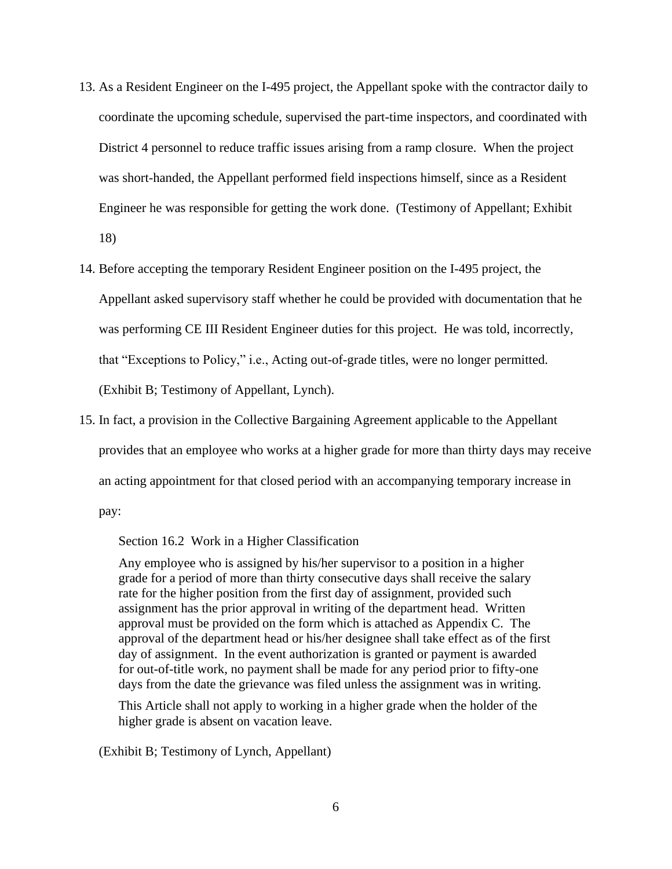- 13. As a Resident Engineer on the I-495 project, the Appellant spoke with the contractor daily to coordinate the upcoming schedule, supervised the part-time inspectors, and coordinated with District 4 personnel to reduce traffic issues arising from a ramp closure. When the project was short-handed, the Appellant performed field inspections himself, since as a Resident Engineer he was responsible for getting the work done. (Testimony of Appellant; Exhibit 18)
- 14. Before accepting the temporary Resident Engineer position on the I-495 project, the Appellant asked supervisory staff whether he could be provided with documentation that he was performing CE III Resident Engineer duties for this project. He was told, incorrectly, that "Exceptions to Policy," i.e., Acting out-of-grade titles, were no longer permitted. (Exhibit B; Testimony of Appellant, Lynch).
- 15. In fact, a provision in the Collective Bargaining Agreement applicable to the Appellant provides that an employee who works at a higher grade for more than thirty days may receive an acting appointment for that closed period with an accompanying temporary increase in

pay:

Section 16.2 Work in a Higher Classification

Any employee who is assigned by his/her supervisor to a position in a higher grade for a period of more than thirty consecutive days shall receive the salary rate for the higher position from the first day of assignment, provided such assignment has the prior approval in writing of the department head. Written approval must be provided on the form which is attached as Appendix C. The approval of the department head or his/her designee shall take effect as of the first day of assignment. In the event authorization is granted or payment is awarded for out-of-title work, no payment shall be made for any period prior to fifty-one days from the date the grievance was filed unless the assignment was in writing.

This Article shall not apply to working in a higher grade when the holder of the higher grade is absent on vacation leave.

(Exhibit B; Testimony of Lynch, Appellant)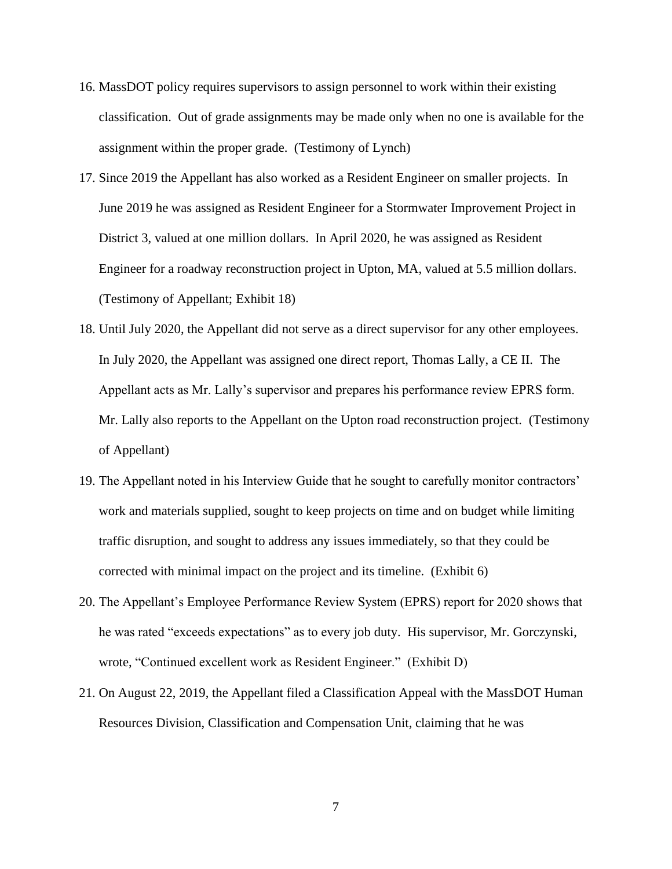- 16. MassDOT policy requires supervisors to assign personnel to work within their existing classification. Out of grade assignments may be made only when no one is available for the assignment within the proper grade. (Testimony of Lynch)
- 17. Since 2019 the Appellant has also worked as a Resident Engineer on smaller projects. In June 2019 he was assigned as Resident Engineer for a Stormwater Improvement Project in District 3, valued at one million dollars. In April 2020, he was assigned as Resident Engineer for a roadway reconstruction project in Upton, MA, valued at 5.5 million dollars. (Testimony of Appellant; Exhibit 18)
- 18. Until July 2020, the Appellant did not serve as a direct supervisor for any other employees. In July 2020, the Appellant was assigned one direct report, Thomas Lally, a CE II. The Appellant acts as Mr. Lally's supervisor and prepares his performance review EPRS form. Mr. Lally also reports to the Appellant on the Upton road reconstruction project. (Testimony of Appellant)
- 19. The Appellant noted in his Interview Guide that he sought to carefully monitor contractors' work and materials supplied, sought to keep projects on time and on budget while limiting traffic disruption, and sought to address any issues immediately, so that they could be corrected with minimal impact on the project and its timeline. (Exhibit 6)
- 20. The Appellant's Employee Performance Review System (EPRS) report for 2020 shows that he was rated "exceeds expectations" as to every job duty. His supervisor, Mr. Gorczynski, wrote, "Continued excellent work as Resident Engineer." (Exhibit D)
- 21. On August 22, 2019, the Appellant filed a Classification Appeal with the MassDOT Human Resources Division, Classification and Compensation Unit, claiming that he was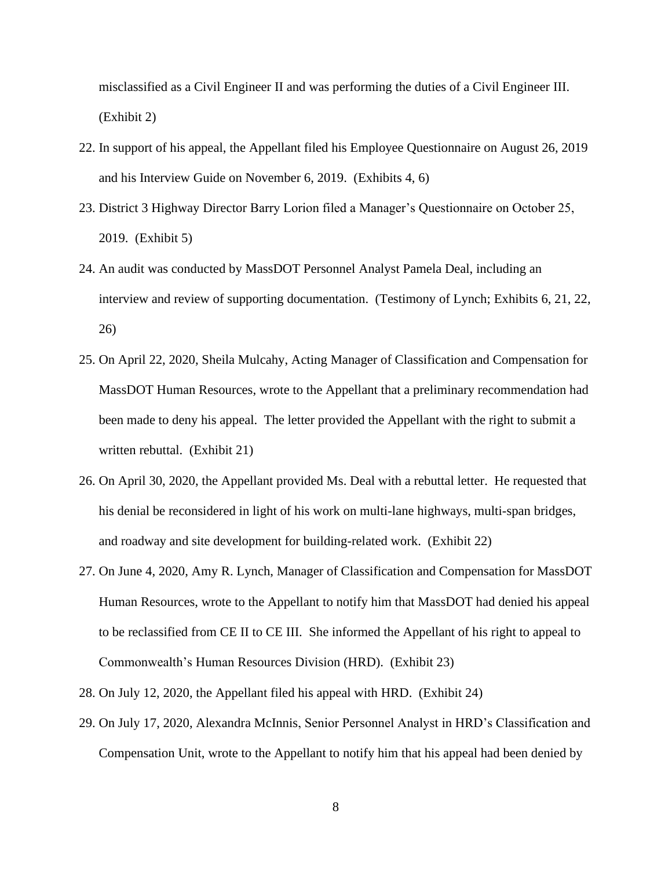misclassified as a Civil Engineer II and was performing the duties of a Civil Engineer III. (Exhibit 2)

- 22. In support of his appeal, the Appellant filed his Employee Questionnaire on August 26, 2019 and his Interview Guide on November 6, 2019. (Exhibits 4, 6)
- 23. District 3 Highway Director Barry Lorion filed a Manager's Questionnaire on October 25, 2019. (Exhibit 5)
- 24. An audit was conducted by MassDOT Personnel Analyst Pamela Deal, including an interview and review of supporting documentation. (Testimony of Lynch; Exhibits 6, 21, 22, 26)
- 25. On April 22, 2020, Sheila Mulcahy, Acting Manager of Classification and Compensation for MassDOT Human Resources, wrote to the Appellant that a preliminary recommendation had been made to deny his appeal. The letter provided the Appellant with the right to submit a written rebuttal. (Exhibit 21)
- 26. On April 30, 2020, the Appellant provided Ms. Deal with a rebuttal letter. He requested that his denial be reconsidered in light of his work on multi-lane highways, multi-span bridges, and roadway and site development for building-related work. (Exhibit 22)
- 27. On June 4, 2020, Amy R. Lynch, Manager of Classification and Compensation for MassDOT Human Resources, wrote to the Appellant to notify him that MassDOT had denied his appeal to be reclassified from CE II to CE III. She informed the Appellant of his right to appeal to Commonwealth's Human Resources Division (HRD). (Exhibit 23)
- 28. On July 12, 2020, the Appellant filed his appeal with HRD. (Exhibit 24)
- 29. On July 17, 2020, Alexandra McInnis, Senior Personnel Analyst in HRD's Classification and Compensation Unit, wrote to the Appellant to notify him that his appeal had been denied by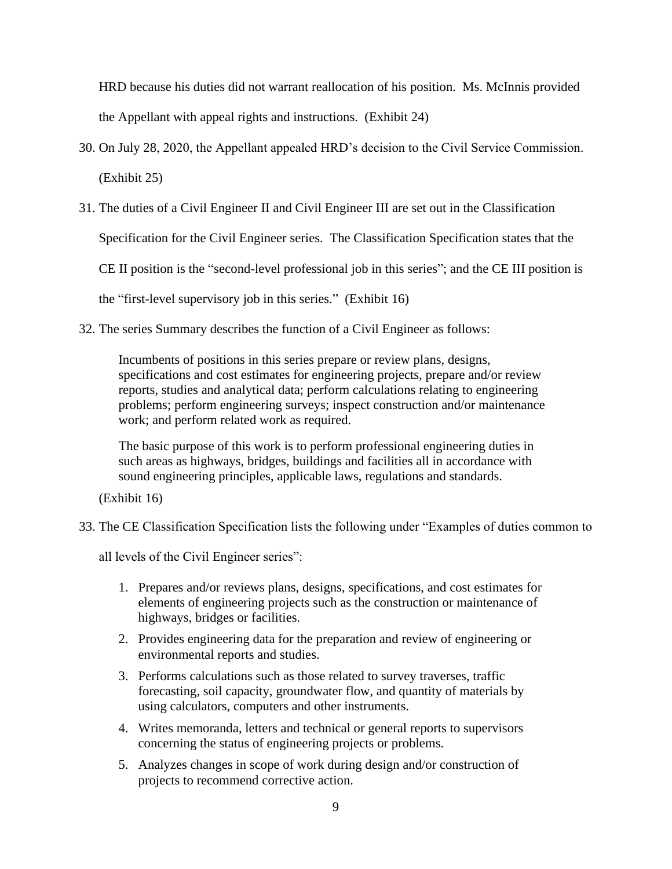HRD because his duties did not warrant reallocation of his position. Ms. McInnis provided the Appellant with appeal rights and instructions. (Exhibit 24)

- 30. On July 28, 2020, the Appellant appealed HRD's decision to the Civil Service Commission. (Exhibit 25)
- 31. The duties of a Civil Engineer II and Civil Engineer III are set out in the Classification

Specification for the Civil Engineer series. The Classification Specification states that the

CE II position is the "second-level professional job in this series"; and the CE III position is

the "first-level supervisory job in this series." (Exhibit 16)

32. The series Summary describes the function of a Civil Engineer as follows:

Incumbents of positions in this series prepare or review plans, designs, specifications and cost estimates for engineering projects, prepare and/or review reports, studies and analytical data; perform calculations relating to engineering problems; perform engineering surveys; inspect construction and/or maintenance work; and perform related work as required.

The basic purpose of this work is to perform professional engineering duties in such areas as highways, bridges, buildings and facilities all in accordance with sound engineering principles, applicable laws, regulations and standards.

(Exhibit 16)

33. The CE Classification Specification lists the following under "Examples of duties common to

all levels of the Civil Engineer series":

- 1. Prepares and/or reviews plans, designs, specifications, and cost estimates for elements of engineering projects such as the construction or maintenance of highways, bridges or facilities.
- 2. Provides engineering data for the preparation and review of engineering or environmental reports and studies.
- 3. Performs calculations such as those related to survey traverses, traffic forecasting, soil capacity, groundwater flow, and quantity of materials by using calculators, computers and other instruments.
- 4. Writes memoranda, letters and technical or general reports to supervisors concerning the status of engineering projects or problems.
- 5. Analyzes changes in scope of work during design and/or construction of projects to recommend corrective action.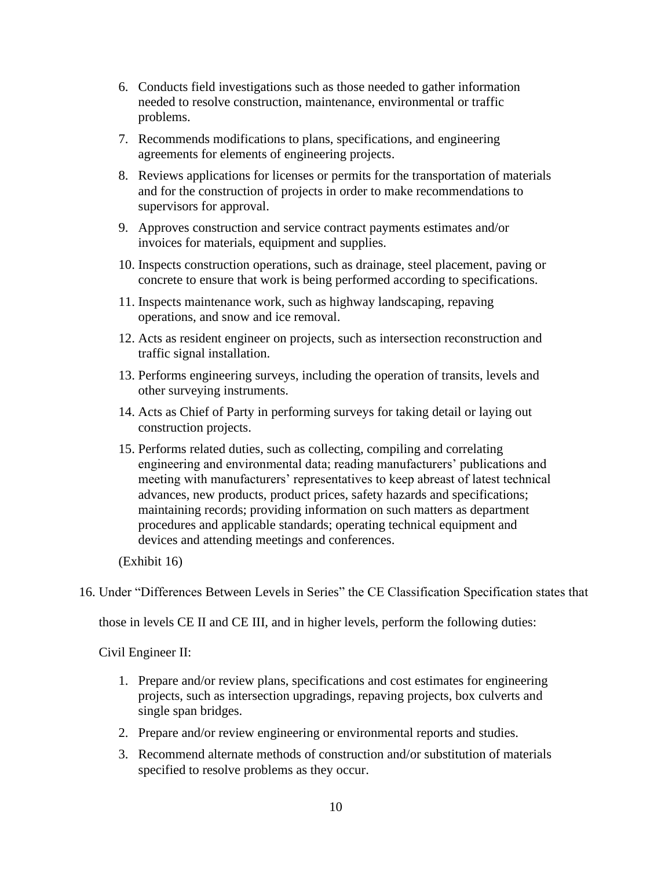- 6. Conducts field investigations such as those needed to gather information needed to resolve construction, maintenance, environmental or traffic problems.
- 7. Recommends modifications to plans, specifications, and engineering agreements for elements of engineering projects.
- 8. Reviews applications for licenses or permits for the transportation of materials and for the construction of projects in order to make recommendations to supervisors for approval.
- 9. Approves construction and service contract payments estimates and/or invoices for materials, equipment and supplies.
- 10. Inspects construction operations, such as drainage, steel placement, paving or concrete to ensure that work is being performed according to specifications.
- 11. Inspects maintenance work, such as highway landscaping, repaving operations, and snow and ice removal.
- 12. Acts as resident engineer on projects, such as intersection reconstruction and traffic signal installation.
- 13. Performs engineering surveys, including the operation of transits, levels and other surveying instruments.
- 14. Acts as Chief of Party in performing surveys for taking detail or laying out construction projects.
- 15. Performs related duties, such as collecting, compiling and correlating engineering and environmental data; reading manufacturers' publications and meeting with manufacturers' representatives to keep abreast of latest technical advances, new products, product prices, safety hazards and specifications; maintaining records; providing information on such matters as department procedures and applicable standards; operating technical equipment and devices and attending meetings and conferences.

(Exhibit 16)

16. Under "Differences Between Levels in Series" the CE Classification Specification states that

those in levels CE II and CE III, and in higher levels, perform the following duties:

Civil Engineer II:

- 1. Prepare and/or review plans, specifications and cost estimates for engineering projects, such as intersection upgradings, repaving projects, box culverts and single span bridges.
- 2. Prepare and/or review engineering or environmental reports and studies.
- 3. Recommend alternate methods of construction and/or substitution of materials specified to resolve problems as they occur.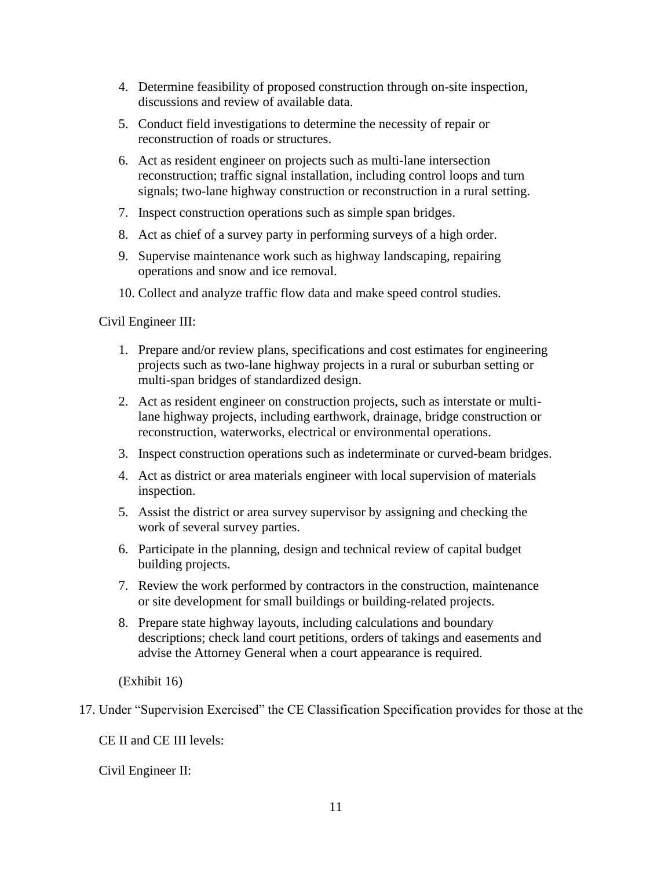- 4. Determine feasibility of proposed construction through on-site inspection, discussions and review of available data.
- 5. Conduct field investigations to determine the necessity of repair or reconstruction of roads or structures.
- 6. Act as resident engineer on projects such as multi-lane intersection reconstruction; traffic signal installation, including control loops and turn signals; two-lane highway construction or reconstruction in a rural setting.
- 7. Inspect construction operations such as simple span bridges.
- 8. Act as chief of a survey party in performing surveys of a high order.
- 9. Supervise maintenance work such as highway landscaping, repairing operations and snow and ice removal.
- 10. Collect and analyze traffic flow data and make speed control studies.

Civil Engineer III:

- 1. Prepare and/or review plans, specifications and cost estimates for engineering projects such as two-lane highway projects in a rural or suburban setting or multi-span bridges of standardized design.
- 2. Act as resident engineer on construction projects, such as interstate or multilane highway projects, including earthwork, drainage, bridge construction or reconstruction, waterworks, electrical or environmental operations.
- 3. Inspect construction operations such as indeterminate or curved-beam bridges.
- 4. Act as district or area materials engineer with local supervision of materials inspection.
- 5. Assist the district or area survey supervisor by assigning and checking the work of several survey parties.
- 6. Participate in the planning, design and technical review of capital budget building projects.
- 7. Review the work performed by contractors in the construction, maintenance or site development for small buildings or building-related projects.
- 8. Prepare state highway layouts, including calculations and boundary descriptions; check land court petitions, orders of takings and easements and advise the Attorney General when a court appearance is required.

(Exhibit 16)

17. Under "Supervision Exercised" the CE Classification Specification provides for those at the

CE II and CE III levels:

Civil Engineer II: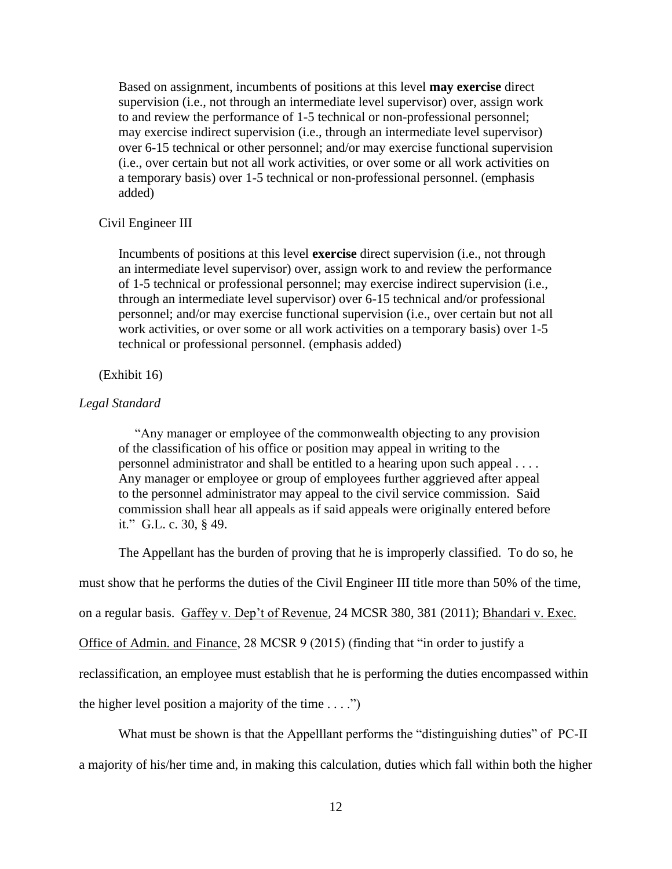Based on assignment, incumbents of positions at this level **may exercise** direct supervision (i.e., not through an intermediate level supervisor) over, assign work to and review the performance of 1-5 technical or non-professional personnel; may exercise indirect supervision (i.e., through an intermediate level supervisor) over 6-15 technical or other personnel; and/or may exercise functional supervision (i.e., over certain but not all work activities, or over some or all work activities on a temporary basis) over 1-5 technical or non-professional personnel. (emphasis added)

# Civil Engineer III

Incumbents of positions at this level **exercise** direct supervision (i.e., not through an intermediate level supervisor) over, assign work to and review the performance of 1-5 technical or professional personnel; may exercise indirect supervision (i.e., through an intermediate level supervisor) over 6-15 technical and/or professional personnel; and/or may exercise functional supervision (i.e., over certain but not all work activities, or over some or all work activities on a temporary basis) over 1-5 technical or professional personnel. (emphasis added)

#### (Exhibit 16)

### *Legal Standard*

 "Any manager or employee of the commonwealth objecting to any provision of the classification of his office or position may appeal in writing to the personnel administrator and shall be entitled to a hearing upon such appeal . . . . Any manager or employee or group of employees further aggrieved after appeal to the personnel administrator may appeal to the civil service commission. Said commission shall hear all appeals as if said appeals were originally entered before it." G.L. c. 30, § 49.

The Appellant has the burden of proving that he is improperly classified. To do so, he

must show that he performs the duties of the Civil Engineer III title more than 50% of the time,

on a regular basis. Gaffey v. Dep't of Revenue, 24 MCSR 380, 381 (2011); Bhandari v. Exec.

Office of Admin. and Finance, 28 MCSR 9 (2015) (finding that "in order to justify a

reclassification, an employee must establish that he is performing the duties encompassed within

the higher level position a majority of the time  $\dots$ .")

What must be shown is that the Appelllant performs the "distinguishing duties" of PC-II a majority of his/her time and, in making this calculation, duties which fall within both the higher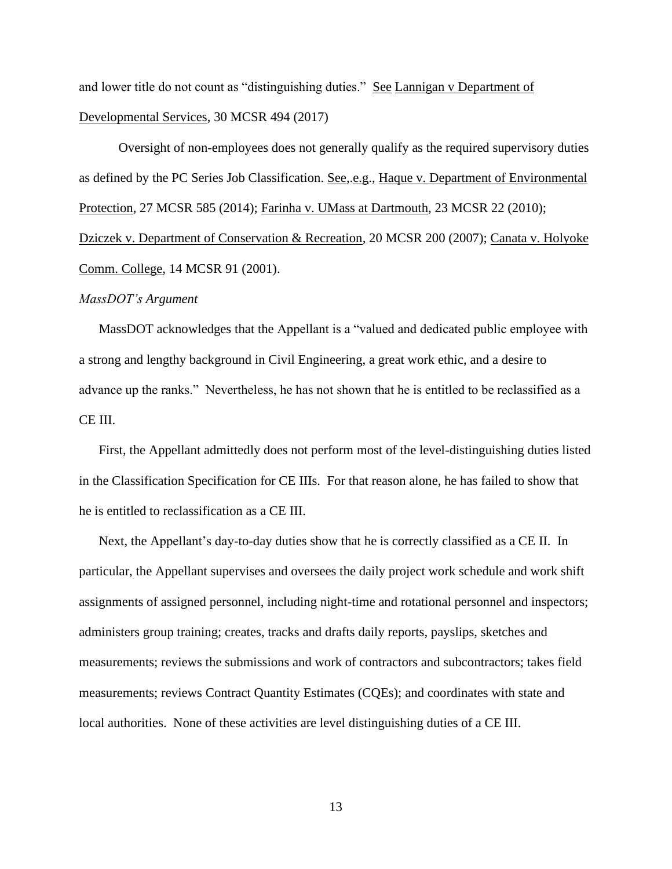and lower title do not count as "distinguishing duties." See Lannigan v Department of Developmental Services, 30 MCSR 494 (2017)

Oversight of non-employees does not generally qualify as the required supervisory duties as defined by the PC Series Job Classification. See,.e.g., Haque v. Department of Environmental Protection, 27 MCSR 585 (2014); Farinha v. UMass at Dartmouth, 23 MCSR 22 (2010); Dziczek v. Department of Conservation & Recreation, 20 MCSR 200 (2007); Canata v. Holyoke Comm. College, 14 MCSR 91 (2001).

# *MassDOT's Argument*

MassDOT acknowledges that the Appellant is a "valued and dedicated public employee with a strong and lengthy background in Civil Engineering, a great work ethic, and a desire to advance up the ranks." Nevertheless, he has not shown that he is entitled to be reclassified as a CE III.

First, the Appellant admittedly does not perform most of the level-distinguishing duties listed in the Classification Specification for CE IIIs. For that reason alone, he has failed to show that he is entitled to reclassification as a CE III.

Next, the Appellant's day-to-day duties show that he is correctly classified as a CE II. In particular, the Appellant supervises and oversees the daily project work schedule and work shift assignments of assigned personnel, including night-time and rotational personnel and inspectors; administers group training; creates, tracks and drafts daily reports, payslips, sketches and measurements; reviews the submissions and work of contractors and subcontractors; takes field measurements; reviews Contract Quantity Estimates (CQEs); and coordinates with state and local authorities. None of these activities are level distinguishing duties of a CE III.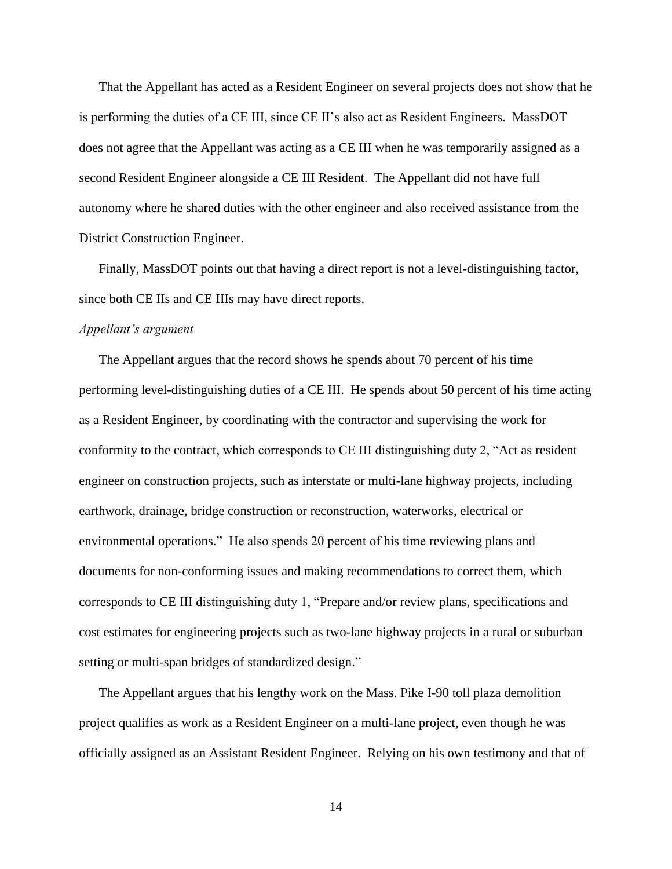That the Appellant has acted as a Resident Engineer on several projects does not show that he is performing the duties of a CE III, since CE II's also act as Resident Engineers. MassDOT does not agree that the Appellant was acting as a CE III when he was temporarily assigned as a second Resident Engineer alongside a CE III Resident. The Appellant did not have full autonomy where he shared duties with the other engineer and also received assistance from the District Construction Engineer.

Finally, MassDOT points out that having a direct report is not a level-distinguishing factor, since both CE IIs and CE IIIs may have direct reports.

#### *Appellant's argument*

The Appellant argues that the record shows he spends about 70 percent of his time performing level-distinguishing duties of a CE III. He spends about 50 percent of his time acting as a Resident Engineer, by coordinating with the contractor and supervising the work for conformity to the contract, which corresponds to CE III distinguishing duty 2, "Act as resident engineer on construction projects, such as interstate or multi-lane highway projects, including earthwork, drainage, bridge construction or reconstruction, waterworks, electrical or environmental operations." He also spends 20 percent of his time reviewing plans and documents for non-conforming issues and making recommendations to correct them, which corresponds to CE III distinguishing duty 1, "Prepare and/or review plans, specifications and cost estimates for engineering projects such as two-lane highway projects in a rural or suburban setting or multi-span bridges of standardized design."

The Appellant argues that his lengthy work on the Mass. Pike I-90 toll plaza demolition project qualifies as work as a Resident Engineer on a multi-lane project, even though he was officially assigned as an Assistant Resident Engineer. Relying on his own testimony and that of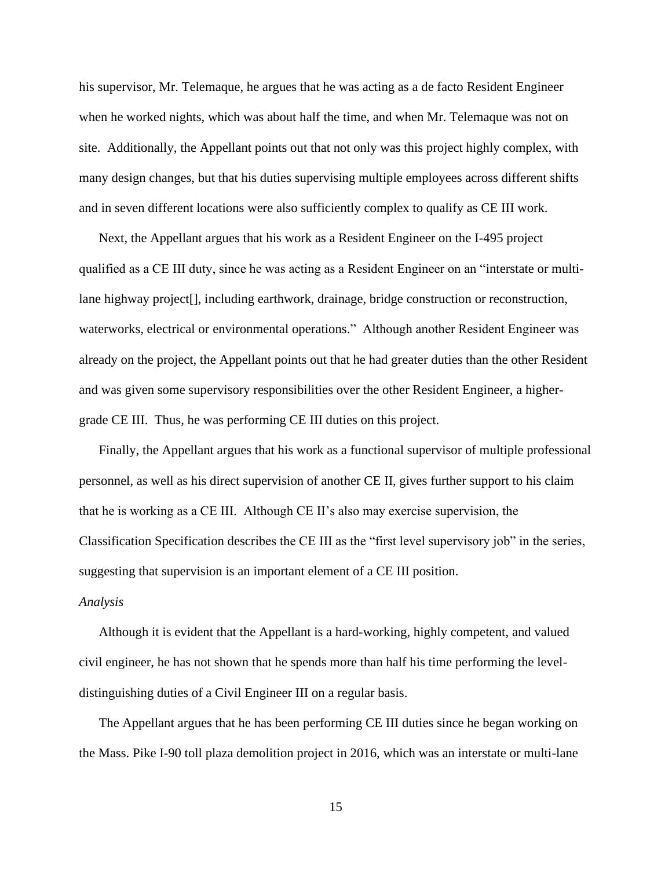his supervisor, Mr. Telemaque, he argues that he was acting as a de facto Resident Engineer when he worked nights, which was about half the time, and when Mr. Telemaque was not on site. Additionally, the Appellant points out that not only was this project highly complex, with many design changes, but that his duties supervising multiple employees across different shifts and in seven different locations were also sufficiently complex to qualify as CE III work.

Next, the Appellant argues that his work as a Resident Engineer on the I-495 project qualified as a CE III duty, since he was acting as a Resident Engineer on an "interstate or multilane highway project[], including earthwork, drainage, bridge construction or reconstruction, waterworks, electrical or environmental operations." Although another Resident Engineer was already on the project, the Appellant points out that he had greater duties than the other Resident and was given some supervisory responsibilities over the other Resident Engineer, a highergrade CE III. Thus, he was performing CE III duties on this project.

Finally, the Appellant argues that his work as a functional supervisor of multiple professional personnel, as well as his direct supervision of another CE II, gives further support to his claim that he is working as a CE III. Although CE II's also may exercise supervision, the Classification Specification describes the CE III as the "first level supervisory job" in the series, suggesting that supervision is an important element of a CE III position.

#### *Analysis*

Although it is evident that the Appellant is a hard-working, highly competent, and valued civil engineer, he has not shown that he spends more than half his time performing the leveldistinguishing duties of a Civil Engineer III on a regular basis.

The Appellant argues that he has been performing CE III duties since he began working on the Mass. Pike I-90 toll plaza demolition project in 2016, which was an interstate or multi-lane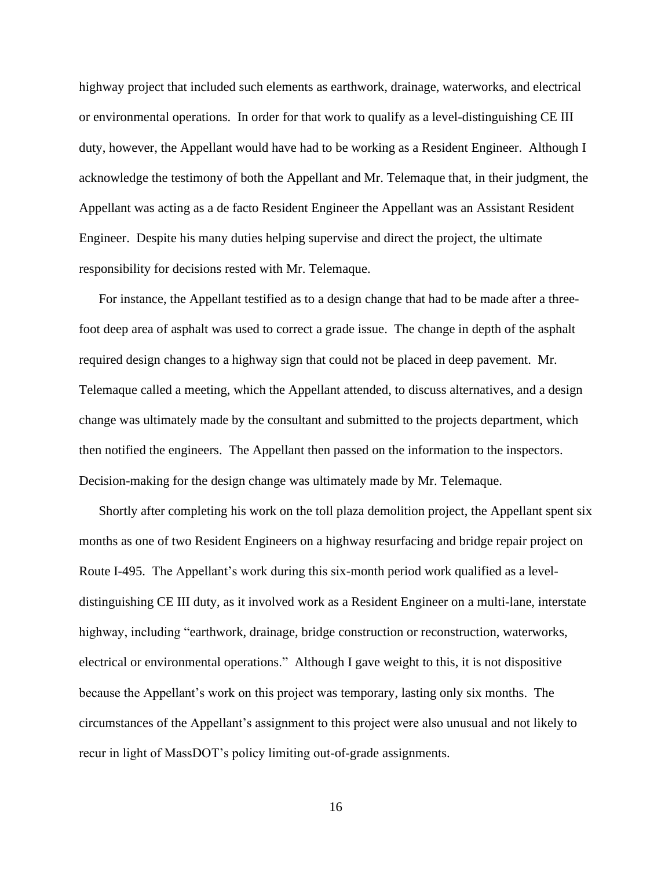highway project that included such elements as earthwork, drainage, waterworks, and electrical or environmental operations. In order for that work to qualify as a level-distinguishing CE III duty, however, the Appellant would have had to be working as a Resident Engineer. Although I acknowledge the testimony of both the Appellant and Mr. Telemaque that, in their judgment, the Appellant was acting as a de facto Resident Engineer the Appellant was an Assistant Resident Engineer. Despite his many duties helping supervise and direct the project, the ultimate responsibility for decisions rested with Mr. Telemaque.

For instance, the Appellant testified as to a design change that had to be made after a threefoot deep area of asphalt was used to correct a grade issue. The change in depth of the asphalt required design changes to a highway sign that could not be placed in deep pavement. Mr. Telemaque called a meeting, which the Appellant attended, to discuss alternatives, and a design change was ultimately made by the consultant and submitted to the projects department, which then notified the engineers. The Appellant then passed on the information to the inspectors. Decision-making for the design change was ultimately made by Mr. Telemaque.

Shortly after completing his work on the toll plaza demolition project, the Appellant spent six months as one of two Resident Engineers on a highway resurfacing and bridge repair project on Route I-495. The Appellant's work during this six-month period work qualified as a leveldistinguishing CE III duty, as it involved work as a Resident Engineer on a multi-lane, interstate highway, including "earthwork, drainage, bridge construction or reconstruction, waterworks, electrical or environmental operations." Although I gave weight to this, it is not dispositive because the Appellant's work on this project was temporary, lasting only six months. The circumstances of the Appellant's assignment to this project were also unusual and not likely to recur in light of MassDOT's policy limiting out-of-grade assignments.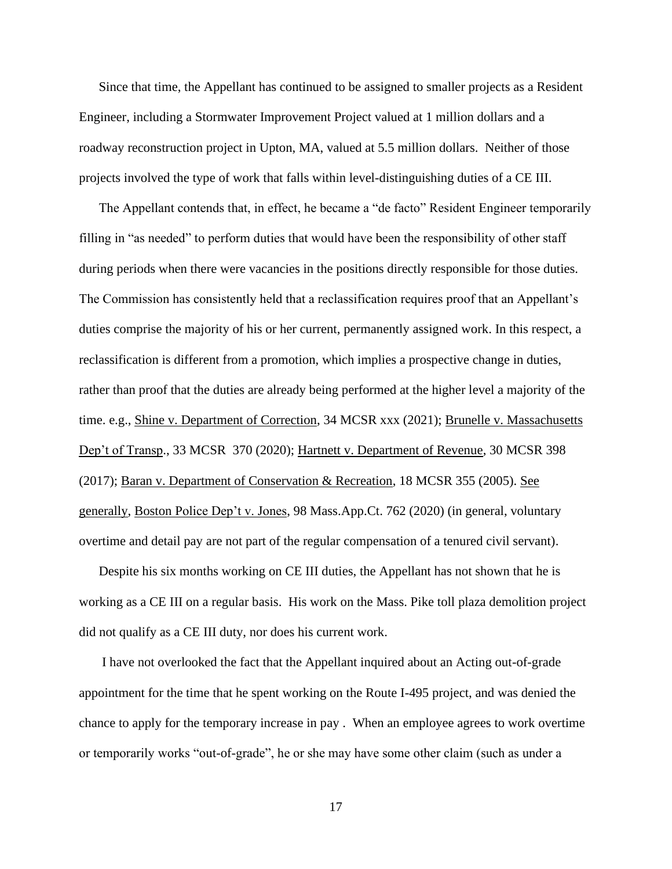Since that time, the Appellant has continued to be assigned to smaller projects as a Resident Engineer, including a Stormwater Improvement Project valued at 1 million dollars and a roadway reconstruction project in Upton, MA, valued at 5.5 million dollars. Neither of those projects involved the type of work that falls within level-distinguishing duties of a CE III.

The Appellant contends that, in effect, he became a "de facto" Resident Engineer temporarily filling in "as needed" to perform duties that would have been the responsibility of other staff during periods when there were vacancies in the positions directly responsible for those duties. The Commission has consistently held that a reclassification requires proof that an Appellant's duties comprise the majority of his or her current, permanently assigned work. In this respect, a reclassification is different from a promotion, which implies a prospective change in duties, rather than proof that the duties are already being performed at the higher level a majority of the time. e.g., Shine v. Department of Correction, 34 MCSR xxx (2021); Brunelle v. Massachusetts Dep't of Transp., 33 MCSR 370 (2020); Hartnett v. Department of Revenue, 30 MCSR 398 (2017); Baran v. Department of Conservation & Recreation, 18 MCSR 355 (2005). See generally, Boston Police Dep't v. Jones, 98 Mass.App.Ct. 762 (2020) (in general, voluntary overtime and detail pay are not part of the regular compensation of a tenured civil servant).

Despite his six months working on CE III duties, the Appellant has not shown that he is working as a CE III on a regular basis. His work on the Mass. Pike toll plaza demolition project did not qualify as a CE III duty, nor does his current work.

I have not overlooked the fact that the Appellant inquired about an Acting out-of-grade appointment for the time that he spent working on the Route I-495 project, and was denied the chance to apply for the temporary increase in pay . When an employee agrees to work overtime or temporarily works "out-of-grade", he or she may have some other claim (such as under a